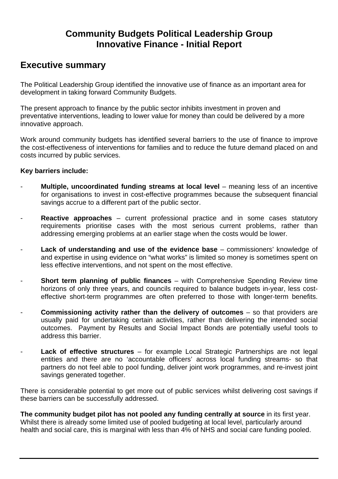## **Community Budgets Political Leadership Group Innovative Finance - Initial Report**

### **Executive summary**

The Political Leadership Group identified the innovative use of finance as an important area for development in taking forward Community Budgets.

The present approach to finance by the public sector inhibits investment in proven and preventative interventions, leading to lower value for money than could be delivered by a more innovative approach.

Work around community budgets has identified several barriers to the use of finance to improve the cost-effectiveness of interventions for families and to reduce the future demand placed on and costs incurred by public services.

#### **Key barriers include:**

- **Multiple, uncoordinated funding streams at local level** meaning less of an incentive for organisations to invest in cost-effective programmes because the subsequent financial savings accrue to a different part of the public sector.
- **Reactive approaches** current professional practice and in some cases statutory requirements prioritise cases with the most serious current problems, rather than addressing emerging problems at an earlier stage when the costs would be lower.
- **Lack of understanding and use of the evidence base** commissioners' knowledge of and expertise in using evidence on "what works" is limited so money is sometimes spent on less effective interventions, and not spent on the most effective.
- **Short term planning of public finances** with Comprehensive Spending Review time horizons of only three years, and councils required to balance budgets in-year, less costeffective short-term programmes are often preferred to those with longer-term benefits.
- **Commissioning activity rather than the delivery of outcomes** so that providers are usually paid for undertaking certain activities, rather than delivering the intended social outcomes. Payment by Results and Social Impact Bonds are potentially useful tools to address this barrier.
- **Lack of effective structures**  for example Local Strategic Partnerships are not legal entities and there are no 'accountable officers' across local funding streams- so that partners do not feel able to pool funding, deliver joint work programmes, and re-invest joint savings generated together.

There is considerable potential to get more out of public services whilst delivering cost savings if these barriers can be successfully addressed.

**The community budget pilot has not pooled any funding centrally at source** in its first year. Whilst there is already some limited use of pooled budgeting at local level, particularly around health and social care, this is marginal with less than 4% of NHS and social care funding pooled.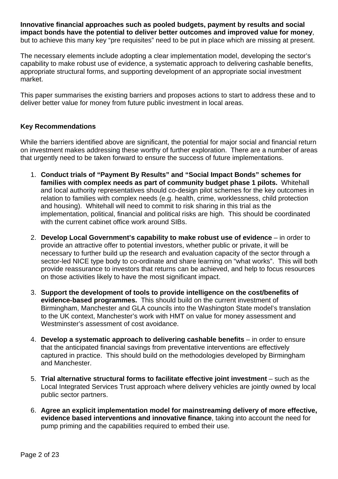**Innovative financial approaches such as pooled budgets, payment by results and social impact bonds have the potential to deliver better outcomes and improved value for money**, but to achieve this many key "pre requisites" need to be put in place which are missing at present.

The necessary elements include adopting a clear implementation model, developing the sector's capability to make robust use of evidence, a systematic approach to delivering cashable benefits, appropriate structural forms, and supporting development of an appropriate social investment market.

This paper summarises the existing barriers and proposes actions to start to address these and to deliver better value for money from future public investment in local areas.

### **Key Recommendations**

While the barriers identified above are significant, the potential for major social and financial return on investment makes addressing these worthy of further exploration. There are a number of areas that urgently need to be taken forward to ensure the success of future implementations.

- 1. **Conduct trials of "Payment By Results" and "Social Impact Bonds" schemes for families with complex needs as part of community budget phase 1 pilots.** Whitehall and local authority representatives should co-design pilot schemes for the key outcomes in relation to families with complex needs (e.g. health, crime, worklessness, child protection and housing). Whitehall will need to commit to risk sharing in this trial as the implementation, political, financial and political risks are high. This should be coordinated with the current cabinet office work around SIBs.
- 2. **Develop Local Government's capability to make robust use of evidence**  in order to provide an attractive offer to potential investors, whether public or private, it will be necessary to further build up the research and evaluation capacity of the sector through a sector-led NICE type body to co-ordinate and share learning on "what works". This will both provide reassurance to investors that returns can be achieved, and help to focus resources on those activities likely to have the most significant impact.
- 3. **Support the development of tools to provide intelligence on the cost/benefits of evidence-based programmes.** This should build on the current investment of Birmingham, Manchester and GLA councils into the Washington State model's translation to the UK context, Manchester's work with HMT on value for money assessment and Westminster's assessment of cost avoidance.
- 4. **Develop a systematic approach to delivering cashable benefits**  in order to ensure that the anticipated financial savings from preventative interventions are effectively captured in practice. This should build on the methodologies developed by Birmingham and Manchester.
- 5. **Trial alternative structural forms to facilitate effective joint investment**  such as the Local Integrated Services Trust approach where delivery vehicles are jointly owned by local public sector partners.
- 6. **Agree an explicit implementation model for mainstreaming delivery of more effective, evidence based interventions and innovative finance**, taking into account the need for pump priming and the capabilities required to embed their use.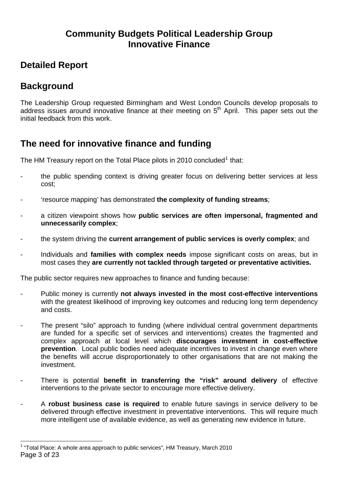## **Community Budgets Political Leadership Group Innovative Finance**

## <span id="page-2-0"></span>**Detailed Report**

# **Background**

The Leadership Group requested Birmingham and West London Councils develop proposals to address issues around innovative finance at their meeting on  $5<sup>th</sup>$  April. This paper sets out the initial feedback from this work.

## **The need for innovative finance and funding**

The HM Treasury report on the Total Place pilots in 20[1](#page-2-0)0 concluded<sup>1</sup> that:

- the public spending context is driving greater focus on delivering better services at less cost;
- 'resource mapping' has demonstrated **the complexity of funding streams**;
- a citizen viewpoint shows how **public services are often impersonal, fragmented and unnecessarily complex**;
- the system driving the **current arrangement of public services is overly complex**; and
- Individuals and **families with complex needs** impose significant costs on areas, but in most cases they **are currently not tackled through targeted or preventative activities.**

The public sector requires new approaches to finance and funding because:

- Public money is currently **not always invested in the most cost-effective interventions**  with the greatest likelihood of improving key outcomes and reducing long term dependency and costs.
- The present "silo" approach to funding (where individual central government departments are funded for a specific set of services and interventions) creates the fragmented and complex approach at local level which **discourages investment in cost-effective prevention**. Local public bodies need adequate incentives to invest in change even where the benefits will accrue disproportionately to other organisations that are not making the investment.
- There is potential **benefit in transferring the "risk" around delivery** of effective interventions to the private sector to encourage more effective delivery.
- A **robust business case is required** to enable future savings in service delivery to be delivered through effective investment in preventative interventions. This will require much more intelligent use of available evidence, as well as generating new evidence in future.

Page 3 of 23  $\overline{a}$ <sup>1</sup> "Total Place: A whole area approach to public services", HM Treasury, March 2010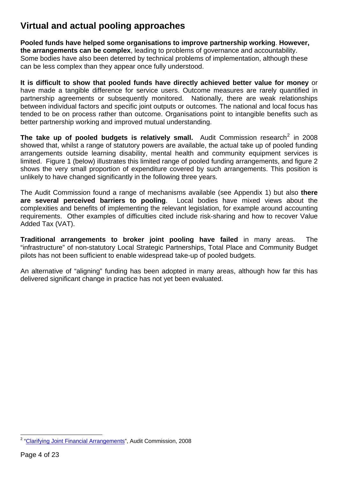## <span id="page-3-0"></span>**Virtual and actual pooling approaches**

**Pooled funds have helped some organisations to improve partnership working**. **However, the arrangements can be complex**, leading to problems of governance and accountability. Some bodies have also been deterred by technical problems of implementation, although these can be less complex than they appear once fully understood.

**It is difficult to show that pooled funds have directly achieved better value for money** or have made a tangible difference for service users. Outcome measures are rarely quantified in partnership agreements or subsequently monitored. Nationally, there are weak relationships between individual factors and specific joint outputs or outcomes. The national and local focus has tended to be on process rather than outcome. Organisations point to intangible benefits such as better partnership working and improved mutual understanding.

**The take up of pooled budgets is relatively small.** Audit Commission research<sup>[2](#page-3-0)</sup> in 2008 showed that, whilst a range of statutory powers are available, the actual take up of pooled funding arrangements outside learning disability, mental health and community equipment services is limited. Figure 1 (below) illustrates this limited range of pooled funding arrangements, and figure 2 shows the very small proportion of expenditure covered by such arrangements. This position is unlikely to have changed significantly in the following three years.

The Audit Commission found a range of mechanisms available (see Appendix 1) but also **there are several perceived barriers to pooling**. Local bodies have mixed views about the complexities and benefits of implementing the relevant legislation, for example around accounting requirements. Other examples of difficulties cited include risk-sharing and how to recover Value Added Tax (VAT).

**Traditional arrangements to broker joint pooling have failed** in many areas. The "infrastructure" of non-statutory Local Strategic Partnerships, Total Place and Community Budget pilots has not been sufficient to enable widespread take-up of pooled budgets.

An alternative of "aligning" funding has been adopted in many areas, although how far this has delivered significant change in practice has not yet been evaluated.

 2 "[Clarifying Joint Financial Arrangements"](http://www.audit-commission.gov.uk/SiteCollectionDocuments/AuditCommissionReports/NationalStudies/ClarifyingJointFinancing4Dec08REP.pdf), Audit Commission, 2008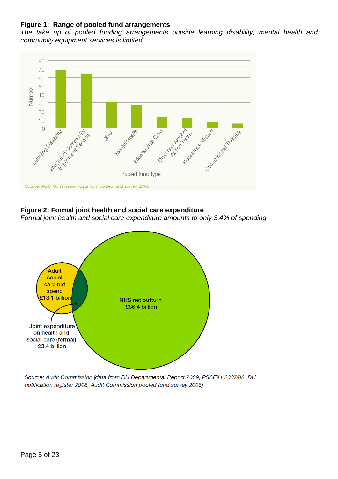#### **Figure 1: Range of pooled fund arrangements**

*The take up of pooled funding arrangements outside learning disability, mental health and community equipment services is limited.*



#### **Figure 2: Formal joint health and social care expenditure**

*Formal joint health and social care expenditure amounts to only 3.4% of spending* 



Source: Audit Commission (data from DH Departmental Report 2009, PSSEX1 2007/08, DH notification register 2008, Audit Commission pooled fund survey 2008)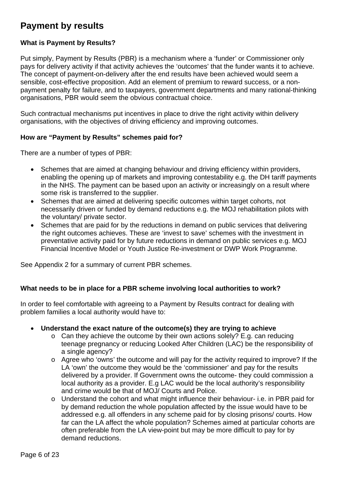# **Payment by results**

### **What is Payment by Results?**

Put simply, Payment by Results (PBR) is a mechanism where a 'funder' or Commissioner only pays for delivery activity if that activity achieves the 'outcomes' that the funder wants it to achieve. The concept of payment-on-delivery after the end results have been achieved would seem a sensible, cost-effective proposition. Add an element of premium to reward success, or a nonpayment penalty for failure, and to taxpayers, government departments and many rational-thinking organisations, PBR would seem the obvious contractual choice.

Such contractual mechanisms put incentives in place to drive the right activity within delivery organisations, with the objectives of driving efficiency and improving outcomes.

#### **How are "Payment by Results" schemes paid for?**

There are a number of types of PBR:

- Schemes that are aimed at changing behaviour and driving efficiency within providers, enabling the opening up of markets and improving contestability e.g. the DH tariff payments in the NHS. The payment can be based upon an activity or increasingly on a result where some risk is transferred to the supplier.
- Schemes that are aimed at delivering specific outcomes within target cohorts, not necessarily driven or funded by demand reductions e.g. the MOJ rehabilitation pilots with the voluntary/ private sector.
- Schemes that are paid for by the reductions in demand on public services that delivering the right outcomes achieves. These are 'invest to save' schemes with the investment in preventative activity paid for by future reductions in demand on public services e.g. MOJ Financial Incentive Model or Youth Justice Re-investment or DWP Work Programme.

See Appendix 2 for a summary of current PBR schemes.

#### **What needs to be in place for a PBR scheme involving local authorities to work?**

In order to feel comfortable with agreeing to a Payment by Results contract for dealing with problem families a local authority would have to:

#### • **Understand the exact nature of the outcome(s) they are trying to achieve**

- o Can they achieve the outcome by their own actions solely? E.g. can reducing teenage pregnancy or reducing Looked After Children (LAC) be the responsibility of a single agency?
- o Agree who 'owns' the outcome and will pay for the activity required to improve? If the LA 'own' the outcome they would be the 'commissioner' and pay for the results delivered by a provider. If Government owns the outcome- they could commission a local authority as a provider. E.g LAC would be the local authority's responsibility and crime would be that of MOJ/ Courts and Police.
- o Understand the cohort and what might influence their behaviour- i.e. in PBR paid for by demand reduction the whole population affected by the issue would have to be addressed e.g. all offenders in any scheme paid for by closing prisons/ courts. How far can the LA affect the whole population? Schemes aimed at particular cohorts are often preferable from the LA view-point but may be more difficult to pay for by demand reductions.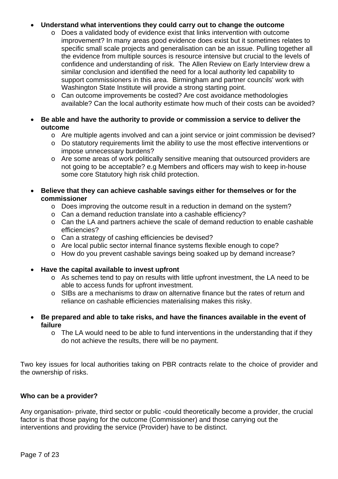### • **Understand what interventions they could carry out to change the outcome**

- o Does a validated body of evidence exist that links intervention with outcome improvement? In many areas good evidence does exist but it sometimes relates to specific small scale projects and generalisation can be an issue. Pulling together all the evidence from multiple sources is resource intensive but crucial to the levels of confidence and understanding of risk. The Allen Review on Early Interview drew a similar conclusion and identified the need for a local authority led capability to support commissioners in this area. Birmingham and partner councils' work with Washington State Institute will provide a strong starting point.
- o Can outcome improvements be costed? Are cost avoidance methodologies available? Can the local authority estimate how much of their costs can be avoided?
- **Be able and have the authority to provide or commission a service to deliver the outcome** 
	- o Are multiple agents involved and can a joint service or joint commission be devised?
	- o Do statutory requirements limit the ability to use the most effective interventions or impose unnecessary burdens?
	- o Are some areas of work politically sensitive meaning that outsourced providers are not going to be acceptable? e.g Members and officers may wish to keep in-house some core Statutory high risk child protection.
- **Believe that they can achieve cashable savings either for themselves or for the commissioner** 
	- o Does improving the outcome result in a reduction in demand on the system?
	- o Can a demand reduction translate into a cashable efficiency?
	- o Can the LA and partners achieve the scale of demand reduction to enable cashable efficiencies?
	- o Can a strategy of cashing efficiencies be devised?
	- o Are local public sector internal finance systems flexible enough to cope?
	- o How do you prevent cashable savings being soaked up by demand increase?
- **Have the capital available to invest upfront** 
	- o As schemes tend to pay on results with little upfront investment, the LA need to be able to access funds for upfront investment.
	- o SIBs are a mechanisms to draw on alternative finance but the rates of return and reliance on cashable efficiencies materialising makes this risky.
- **Be prepared and able to take risks, and have the finances available in the event of failure**
	- o The LA would need to be able to fund interventions in the understanding that if they do not achieve the results, there will be no payment.

Two key issues for local authorities taking on PBR contracts relate to the choice of provider and the ownership of risks.

#### **Who can be a provider?**

Any organisation- private, third sector or public -could theoretically become a provider, the crucial factor is that those paying for the outcome (Commissioner) and those carrying out the interventions and providing the service (Provider) have to be distinct.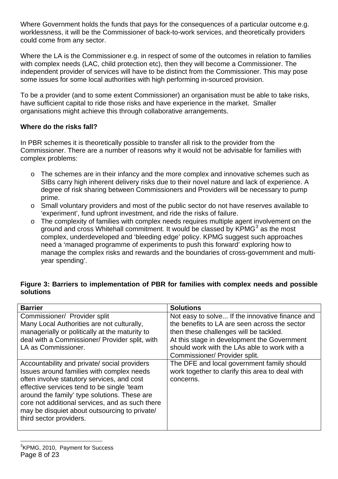<span id="page-7-0"></span>Where Government holds the funds that pays for the consequences of a particular outcome e.g. worklessness, it will be the Commissioner of back-to-work services, and theoretically providers could come from any sector.

Where the LA is the Commissioner e.g. in respect of some of the outcomes in relation to families with complex needs (LAC, child protection etc), then they will become a Commissioner. The independent provider of services will have to be distinct from the Commissioner. This may pose some issues for some local authorities with high performing in-sourced provision.

To be a provider (and to some extent Commissioner) an organisation must be able to take risks, have sufficient capital to ride those risks and have experience in the market. Smaller organisations might achieve this through collaborative arrangements.

### **Where do the risks fall?**

In PBR schemes it is theoretically possible to transfer all risk to the provider from the Commissioner. There are a number of reasons why it would not be advisable for families with complex problems:

- o The schemes are in their infancy and the more complex and innovative schemes such as SIBs carry high inherent delivery risks due to their novel nature and lack of experience. A degree of risk sharing between Commissioners and Providers will be necessary to pump prime.
- o Small voluntary providers and most of the public sector do not have reserves available to 'experiment', fund upfront investment, and ride the risks of failure.
- o The complexity of families with complex needs requires multiple agent involvement on the ground and cross Whitehall commitment. It would be classed by  $KPMG<sup>3</sup>$  $KPMG<sup>3</sup>$  $KPMG<sup>3</sup>$  as the most complex, underdeveloped and 'bleeding edge' policy. KPMG suggest such approaches need a 'managed programme of experiments to push this forward' exploring how to manage the complex risks and rewards and the boundaries of cross-government and multiyear spending'.

### **Figure 3: Barriers to implementation of PBR for families with complex needs and possible solutions**

| <b>Barrier</b>                                                                                                                                                                                                                                                                                                                                                      | <b>Solutions</b>                                                                                           |
|---------------------------------------------------------------------------------------------------------------------------------------------------------------------------------------------------------------------------------------------------------------------------------------------------------------------------------------------------------------------|------------------------------------------------------------------------------------------------------------|
| Commissioner/ Provider split                                                                                                                                                                                                                                                                                                                                        | Not easy to solve If the innovative finance and                                                            |
| Many Local Authorities are not culturally,                                                                                                                                                                                                                                                                                                                          | the benefits to LA are seen across the sector                                                              |
| managerially or politically at the maturity to                                                                                                                                                                                                                                                                                                                      | then these challenges will be tackled.                                                                     |
| deal with a Commissioner/ Provider split, with                                                                                                                                                                                                                                                                                                                      | At this stage in development the Government                                                                |
| LA as Commissioner.                                                                                                                                                                                                                                                                                                                                                 | should work with the LAs able to work with a                                                               |
|                                                                                                                                                                                                                                                                                                                                                                     | Commissioner/ Provider split.                                                                              |
| Accountability and private/social providers<br>Issues around families with complex needs<br>often involve statutory services, and cost<br>effective services tend to be single 'team<br>around the family' type solutions. These are<br>core not additional services, and as such there<br>may be disquiet about outsourcing to private/<br>third sector providers. | The DFE and local government family should<br>work together to clarify this area to deal with<br>concerns. |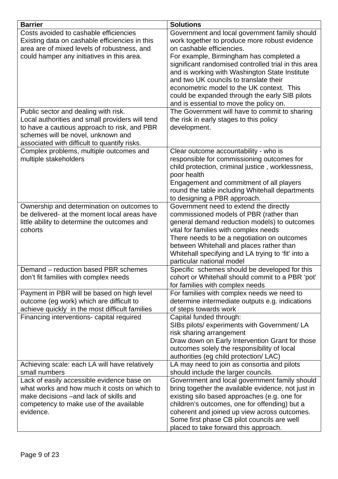| <b>Barrier</b>                                  | <b>Solutions</b>                                                                |
|-------------------------------------------------|---------------------------------------------------------------------------------|
| Costs avoided to cashable efficiencies          | Government and local government family should                                   |
| Existing data on cashable efficiencies in this  | work together to produce more robust evidence                                   |
| area are of mixed levels of robustness, and     | on cashable efficiencies.                                                       |
| could hamper any initiatives in this area.      | For example, Birmingham has completed a                                         |
|                                                 | significant randomised controlled trial in this area                            |
|                                                 | and is working with Washington State Institute                                  |
|                                                 | and two UK councils to translate their                                          |
|                                                 | econometric model to the UK context. This                                       |
|                                                 | could be expanded through the early SIB pilots                                  |
|                                                 | and is essential to move the policy on.                                         |
| Public sector and dealing with risk.            | The Government will have to commit to sharing                                   |
| Local authorities and small providers will tend | the risk in early stages to this policy                                         |
| to have a cautious approach to risk, and PBR    | development.                                                                    |
| schemes will be novel, unknown and              |                                                                                 |
| associated with difficult to quantify risks.    |                                                                                 |
| Complex problems, multiple outcomes and         | Clear outcome accountability - who is                                           |
| multiple stakeholders                           | responsible for commissioning outcomes for                                      |
|                                                 | child protection, criminal justice, worklessness,                               |
|                                                 | poor health                                                                     |
|                                                 | Engagement and commitment of all players                                        |
|                                                 | round the table including Whitehall departments                                 |
|                                                 | to designing a PBR approach.                                                    |
| Ownership and determination on outcomes to      | Government need to extend the directly                                          |
| be delivered- at the moment local areas have    | commissioned models of PBR (rather than                                         |
| little ability to determine the outcomes and    | general demand reduction models) to outcomes                                    |
| cohorts                                         | vital for families with complex needs                                           |
|                                                 | There needs to be a negotiation on outcomes                                     |
|                                                 | between Whitehall and places rather than                                        |
|                                                 | Whitehall specifying and LA trying to 'fit' into a<br>particular national model |
| Demand – reduction based PBR schemes            | Specific schemes should be developed for this                                   |
| don't fit families with complex needs           | cohort or Whitehall should commit to a PBR 'pot'                                |
|                                                 | for families with complex needs                                                 |
| Payment in PBR will be based on high level      | For families with complex needs we need to                                      |
| outcome (eg work) which are difficult to        | determine intermediate outputs e.g. indications                                 |
| achieve quickly in the most difficult families  | of steps towards work                                                           |
| Financing interventions- capital required       | Capital funded through:                                                         |
|                                                 | SIBs pilots/ experiments with Government/ LA                                    |
|                                                 | risk sharing arrangement                                                        |
|                                                 | Draw down on Early Intervention Grant for those                                 |
|                                                 | outcomes solely the responsibility of local                                     |
|                                                 | authorities (eg child protection/ LAC)                                          |
| Achieving scale: each LA will have relatively   | LA may need to join as consortia and pilots                                     |
| small numbers                                   | should include the larger councils.                                             |
| Lack of easily accessible evidence base on      | Government and local government family should                                   |
| what works and how much it costs on which to    | bring together the available evidence, not just in                              |
| make decisions - and lack of skills and         | existing silo based approaches (e.g. one for                                    |
| competency to make use of the available         | children's outcomes, one for offending) but a                                   |
| evidence.                                       | coherent and joined up view across outcomes.                                    |
|                                                 | Some first phase CB pilot councils are well                                     |
|                                                 | placed to take forward this approach.                                           |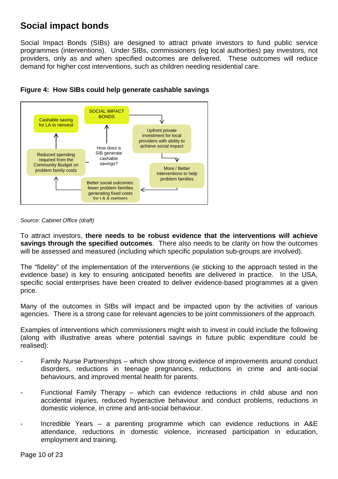## **Social impact bonds**

Social Impact Bonds (SIBs) are designed to attract private investors to fund public service programmes (interventions). Under SIBs, commissioners (eg local authorities) pay investors, not providers, only as and when specified outcomes are delivered. These outcomes will reduce demand for higher cost interventions, such as children needing residential care.





#### *Source: Cabinet Office (draft)*

To attract investors, **there needs to be robust evidence that the interventions will achieve savings through the specified outcomes**. There also needs to be clarity on how the outcomes will be assessed and measured (including which specific population sub-groups are involved).

The "fidelity" of the implementation of the interventions (ie sticking to the approach tested in the evidence base) is key to ensuring anticipated benefits are delivered in practice. In the USA, specific social enterprises have been created to deliver evidence-based programmes at a given price.

Many of the outcomes in SIBs will impact and be impacted upon by the activities of various agencies. There is a strong case for relevant agencies to be joint commissioners of the approach.

Examples of interventions which commissioners might wish to invest in could include the following (along with illustrative areas where potential savings in future public expenditure could be realised):

- Family Nurse Partnerships which show strong evidence of improvements around conduct disorders, reductions in teenage pregnancies, reductions in crime and anti-social behaviours, and improved mental health for parents.
- Functional Family Therapy which can evidence reductions in child abuse and non accidental injuries, reduced hyperactive behaviour and conduct problems, reductions in domestic violence, in crime and anti-social behaviour.
- Incredible Years a parenting programme which can evidence reductions in  $A\&E$ attendance, reductions in domestic violence, increased participation in education, employment and training.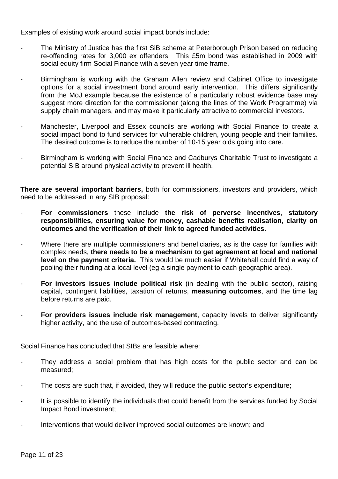Examples of existing work around social impact bonds include:

- The Ministry of Justice has the first SiB scheme at Peterborough Prison based on reducing re-offending rates for 3,000 ex offenders. This £5m bond was established in 2009 with social equity firm Social Finance with a seven year time frame.
- Birmingham is working with the Graham Allen review and Cabinet Office to investigate options for a social investment bond around early intervention. This differs significantly from the MoJ example because the existence of a particularly robust evidence base may suggest more direction for the commissioner (along the lines of the Work Programme) via supply chain managers, and may make it particularly attractive to commercial investors.
- Manchester, Liverpool and Essex councils are working with Social Finance to create a social impact bond to fund services for vulnerable children, young people and their families. The desired outcome is to reduce the number of 10-15 year olds going into care.
- Birmingham is working with Social Finance and Cadburys Charitable Trust to investigate a potential SIB around physical activity to prevent ill health.

**There are several important barriers,** both for commissioners, investors and providers, which need to be addressed in any SIB proposal:

- **For commissioners** these include **the risk of perverse incentives**, **statutory responsibilities, ensuring value for money, cashable benefits realisation, clarity on outcomes and the verification of their link to agreed funded activities.**
- Where there are multiple commissioners and beneficiaries, as is the case for families with complex needs, **there needs to be a mechanism to get agreement at local and national level on the payment criteria.** This would be much easier if Whitehall could find a way of pooling their funding at a local level (eg a single payment to each geographic area).
- **For investors issues include political risk** (in dealing with the public sector), raising capital, contingent liabilities, taxation of returns, **measuring outcomes**, and the time lag before returns are paid.
- **For providers issues include risk management**, capacity levels to deliver significantly higher activity, and the use of outcomes-based contracting.

Social Finance has concluded that SIBs are feasible where:

- They address a social problem that has high costs for the public sector and can be measured;
- The costs are such that, if avoided, they will reduce the public sector's expenditure;
- It is possible to identify the individuals that could benefit from the services funded by Social Impact Bond investment;
- Interventions that would deliver improved social outcomes are known; and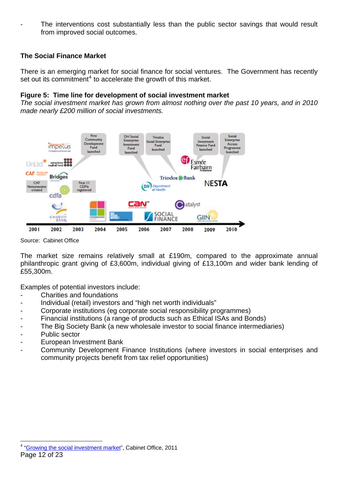<span id="page-11-0"></span>The interventions cost substantially less than the public sector savings that would result from improved social outcomes.

### **The Social Finance Market**

There is an emerging market for social finance for social ventures. The Government has recently set out its commitment<sup>[4](#page-11-0)</sup> to accelerate the growth of this market.

#### **Figure 5: Time line for development of social investment market**

*The social investment market has grown from almost nothing over the past 10 years, and in 2010 made nearly £200 million of social investments.* 



Source: Cabinet Office

The market size remains relatively small at £190m, compared to the approximate annual philanthropic grant giving of £3,600m, individual giving of £13,100m and wider bank lending of £55,300m.

Examples of potential investors include:

- Charities and foundations
- Individual (retail) investors and "high net worth individuals"
- Corporate institutions (eg corporate social responsibility programmes)
- Financial institutions (a range of products such as Ethical ISAs and Bonds)
- The Big Society Bank (a new wholesale investor to social finance intermediaries)
- Public sector
- European Investment Bank
- Community Development Finance Institutions (where investors in social enterprises and community projects benefit from tax relief opportunities)

 $\overline{a}$ Page 12 of 23 <sup>4</sup> "[Growing the social investment market](http://www.cabinetoffice.gov.uk/sites/default/files/resources/404970_SocialInvestmentMarket_acc.pdf)", Cabinet Office, 2011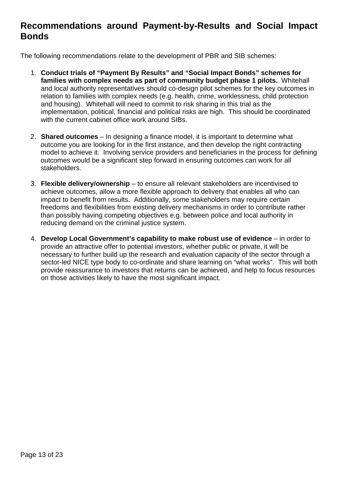## **Recommendations around Payment-by-Results and Social Impact Bonds**

The following recommendations relate to the development of PBR and SIB schemes:

- 1. **Conduct trials of "Payment By Results" and "Social Impact Bonds" schemes for families with complex needs as part of community budget phase 1 pilots.** Whitehall and local authority representatives should co-design pilot schemes for the key outcomes in relation to families with complex needs (e.g. health, crime, worklessness, child protection and housing). Whitehall will need to commit to risk sharing in this trial as the implementation, political, financial and political risks are high. This should be coordinated with the current cabinet office work around SIBs.
- 2. **Shared outcomes** In designing a finance model, it is important to determine what outcome you are looking for in the first instance, and then develop the right contracting model to achieve it. Involving service providers and beneficiaries in the process for defining outcomes would be a significant step forward in ensuring outcomes can work for all stakeholders.
- 3. **Flexible delivery/ownership** to ensure all relevant stakeholders are incentivised to achieve outcomes, allow a more flexible approach to delivery that enables all who can impact to benefit from results. Additionally, some stakeholders may require certain freedoms and flexibilities from existing delivery mechanisms in order to contribute rather than possibly having competing objectives e.g. between police and local authority in reducing demand on the criminal justice system.
- 4. **Develop Local Government's capability to make robust use of evidence**  in order to provide an attractive offer to potential investors, whether public or private, it will be necessary to further build up the research and evaluation capacity of the sector through a sector-led NICE type body to co-ordinate and share learning on "what works". This will both provide reassurance to investors that returns can be achieved, and help to focus resources on those activities likely to have the most significant impact.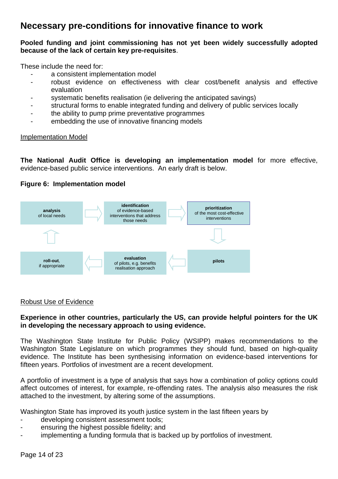## **Necessary pre-conditions for innovative finance to work**

#### **Pooled funding and joint commissioning has not yet been widely successfully adopted because of the lack of certain key pre-requisites**.

These include the need for:

- a consistent implementation model
- robust evidence on effectiveness with clear cost/benefit analysis and effective evaluation
- systematic benefits realisation (ie delivering the anticipated savings)
- structural forms to enable integrated funding and delivery of public services locally
- the ability to pump prime preventative programmes
- embedding the use of innovative financing models

#### Implementation Model

**The National Audit Office is developing an implementation model** for more effective, evidence-based public service interventions. An early draft is below.

### **Figure 6: Implementation model**



#### Robust Use of Evidence

#### **Experience in other countries, particularly the US, can provide helpful pointers for the UK in developing the necessary approach to using evidence.**

The Washington State Institute for Public Policy (WSIPP) makes recommendations to the Washington State Legislature on which programmes they should fund, based on high-quality evidence. The Institute has been synthesising information on evidence-based interventions for fifteen years. Portfolios of investment are a recent development.

A portfolio of investment is a type of analysis that says how a combination of policy options could affect outcomes of interest, for example, re-offending rates. The analysis also measures the risk attached to the investment, by altering some of the assumptions.

Washington State has improved its youth justice system in the last fifteen years by

- developing consistent assessment tools;
- ensuring the highest possible fidelity; and
- implementing a funding formula that is backed up by portfolios of investment.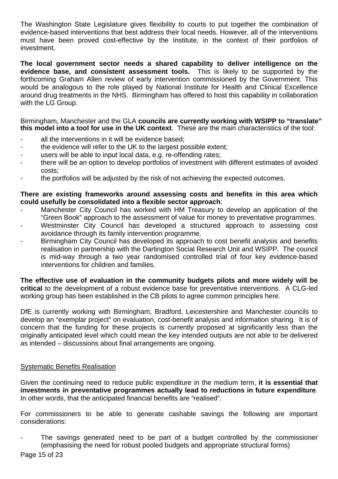The Washington State Legislature gives flexibility to courts to put together the combination of evidence-based interventions that best address their local needs. However, all of the interventions must have been proved cost-effective by the Institute, in the context of their portfolios of investment.

**The local government sector needs a shared capability to deliver intelligence on the evidence base, and consistent assessment tools.** This is likely to be supported by the forthcoming Graham Allen review of early intervention commissioned by the Government. This would be analogous to the role played by National Institute for Health and Clinical Excellence around drug treatments in the NHS. Birmingham has offered to host this capability in collaboration with the LG Group.

Birmingham, Manchester and the GLA **councils are currently working with WSIPP to "translate" this model into a tool for use in the UK context**. These are the main characteristics of the tool:

- all the interventions in it will be evidence based;
- the evidence will refer to the UK to the largest possible extent;
- users will be able to input local data, e.g. re-offending rates;
- there will be an option to develop portfolios of investment with different estimates of avoided costs;
- the portfolios will be adjusted by the risk of not achieving the expected outcomes.

#### **There are existing frameworks around assessing costs and benefits in this area which could usefully be consolidated into a flexible sector approach**:

- Manchester City Council has worked with HM Treasury to develop an application of the "Green Book" approach to the assessment of value for money to preventative programmes.
- Westminster City Council has developed a structured approach to assessing cost avoidance through its family intervention programme.
- Birmingham City Council has developed its approach to cost benefit analysis and benefits realisation in partnership with the Dartington Social Research Unit and WSIPP. The council is mid-way through a two year randomised controlled trial of four key evidence-based interventions for children and families.

**The effective use of evaluation in the community budgets pilots and more widely will be critical** to the development of a robust evidence base for preventative interventions. A CLG-led working group has been established in the CB pilots to agree common principles here.

DfE is currently working with Birmingham, Bradford, Leicestershire and Manchester councils to develop an "exemplar project" on evaluation, cost-benefit analysis and information sharing. It is of concern that the funding for these projects is currently proposed at significantly less than the originally anticipated level which could mean the key intended outputs are not able to be delivered as intended – discussions about final arrangements are ongoing.

#### Systematic Benefits Realisation

Given the continuing need to reduce public expenditure in the medium term, **it is essential that investments in preventative programmes actually lead to reductions in future expenditure**. In other words, that the anticipated financial benefits are "realised".

For commissioners to be able to generate cashable savings the following are important considerations:

The savings generated need to be part of a budget controlled by the commissioner (emphasising the need for robust pooled budgets and appropriate structural forms)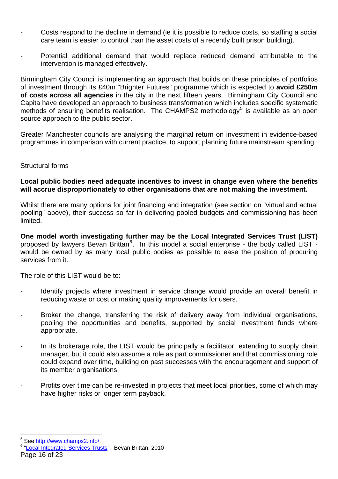- <span id="page-15-0"></span>Costs respond to the decline in demand (ie it is possible to reduce costs, so staffing a social care team is easier to control than the asset costs of a recently built prison building).
- Potential additional demand that would replace reduced demand attributable to the intervention is managed effectively.

Birmingham City Council is implementing an approach that builds on these principles of portfolios of investment through its £40m "Brighter Futures" programme which is expected to **avoid £250m of costs across all agencies** in the city in the next fifteen years. Birmingham City Council and Capita have developed an approach to business transformation which includes specific systematic methods of ensuring benefits realisation. The CHAMPS2 methodology<sup>[5](#page-15-0)</sup> is available as an open source approach to the public sector.

Greater Manchester councils are analysing the marginal return on investment in evidence-based programmes in comparison with current practice, to support planning future mainstream spending.

#### Structural forms

#### **Local public bodies need adequate incentives to invest in change even where the benefits will accrue disproportionately to other organisations that are not making the investment.**

Whilst there are many options for joint financing and integration (see section on "virtual and actual pooling" above), their success so far in delivering pooled budgets and commissioning has been limited.

**One model worth investigating further may be the Local Integrated Services Trust (LIST)** proposed by lawyers Bevan Brittan<sup>[6](#page-15-0)</sup>. In this model a social enterprise - the body called LIST would be owned by as many local public bodies as possible to ease the position of procuring services from it.

The role of this LIST would be to:

- Identify projects where investment in service change would provide an overall benefit in reducing waste or cost or making quality improvements for users.
- Broker the change, transferring the risk of delivery away from individual organisations, pooling the opportunities and benefits, supported by social investment funds where appropriate.
- In its brokerage role, the LIST would be principally a facilitator, extending to supply chain manager, but it could also assume a role as part commissioner and that commissioning role could expand over time, building on past successes with the encouragement and support of its member organisations.
- Profits over time can be re-invested in projects that meet local priorities, some of which may have higher risks or longer term payback.

<sup>&</sup>lt;u>s</u><br>See <u>http://www.champs2.info/</u><br><sup>6 "I</sup> eseListerated Services Tru

<sup>&</sup>lt;sup>6</sup> "[Local Integrated Services Trusts](http://www.bevanbrittan.com/articles/Documents/LIST_CSR.pdf)", Bevan Brittan, 2010

Page 16 of 23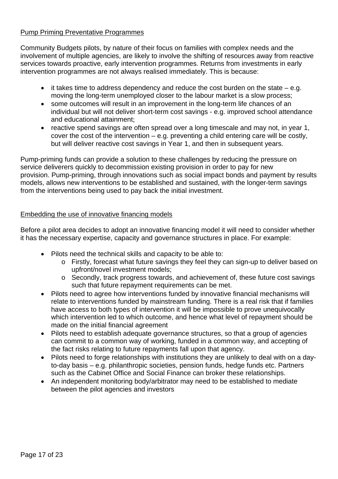### Pump Priming Preventative Programmes

Community Budgets pilots, by nature of their focus on families with complex needs and the involvement of multiple agencies, are likely to involve the shifting of resources away from reactive services towards proactive, early intervention programmes. Returns from investments in early intervention programmes are not always realised immediately. This is because:

- it takes time to address dependency and reduce the cost burden on the state  $-$  e.g. moving the long-term unemployed closer to the labour market is a slow process;
- some outcomes will result in an improvement in the long-term life chances of an individual but will not deliver short-term cost savings - e.g. improved school attendance and educational attainment;
- reactive spend savings are often spread over a long timescale and may not, in year 1, cover the cost of the intervention – e.g. preventing a child entering care will be costly, but will deliver reactive cost savings in Year 1, and then in subsequent years.

Pump-priming funds can provide a solution to these challenges by reducing the pressure on service deliverers quickly to decommission existing provision in order to pay for new provision. Pump-priming, through innovations such as social impact bonds and payment by results models, allows new interventions to be established and sustained, with the longer-term savings from the interventions being used to pay back the initial investment.

### Embedding the use of innovative financing models

Before a pilot area decides to adopt an innovative financing model it will need to consider whether it has the necessary expertise, capacity and governance structures in place. For example:

- Pilots need the technical skills and capacity to be able to:
	- o Firstly, forecast what future savings they feel they can sign-up to deliver based on upfront/novel investment models;
	- o Secondly, track progress towards, and achievement of, these future cost savings such that future repayment requirements can be met.
- Pilots need to agree how interventions funded by innovative financial mechanisms will relate to interventions funded by mainstream funding. There is a real risk that if families have access to both types of intervention it will be impossible to prove unequivocally which intervention led to which outcome, and hence what level of repayment should be made on the initial financial agreement
- Pilots need to establish adequate governance structures, so that a group of agencies can commit to a common way of working, funded in a common way, and accepting of the fact risks relating to future repayments fall upon that agency.
- Pilots need to forge relationships with institutions they are unlikely to deal with on a dayto-day basis – e.g. philanthropic societies, pension funds, hedge funds etc. Partners such as the Cabinet Office and Social Finance can broker these relationships.
- An independent monitoring body/arbitrator may need to be established to mediate between the pilot agencies and investors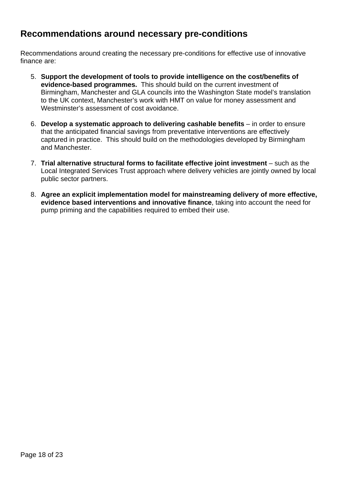## **Recommendations around necessary pre-conditions**

Recommendations around creating the necessary pre-conditions for effective use of innovative finance are:

- 5. **Support the development of tools to provide intelligence on the cost/benefits of evidence-based programmes.** This should build on the current investment of Birmingham, Manchester and GLA councils into the Washington State model's translation to the UK context, Manchester's work with HMT on value for money assessment and Westminster's assessment of cost avoidance.
- 6. **Develop a systematic approach to delivering cashable benefits**  in order to ensure that the anticipated financial savings from preventative interventions are effectively captured in practice. This should build on the methodologies developed by Birmingham and Manchester.
- 7. Trial alternative structural forms to facilitate effective joint investment such as the Local Integrated Services Trust approach where delivery vehicles are jointly owned by local public sector partners.
- 8. **Agree an explicit implementation model for mainstreaming delivery of more effective, evidence based interventions and innovative finance**, taking into account the need for pump priming and the capabilities required to embed their use.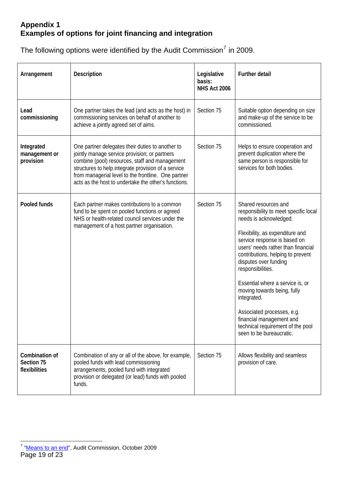### <span id="page-18-0"></span>**Appendix 1 Examples of options for joint financing and integration**

The following options were identified by the Audit Commission<sup>[7](#page-18-0)</sup> in 2009.

| Arrangement                                   | <b>Description</b>                                                                                                                                                                                                                                                                                                        | Legislative<br>basis:<br><b>NHS Act 2006</b> | <b>Further detail</b>                                                                                                                                                                                                                                                                                                                                                                                                                                                                            |
|-----------------------------------------------|---------------------------------------------------------------------------------------------------------------------------------------------------------------------------------------------------------------------------------------------------------------------------------------------------------------------------|----------------------------------------------|--------------------------------------------------------------------------------------------------------------------------------------------------------------------------------------------------------------------------------------------------------------------------------------------------------------------------------------------------------------------------------------------------------------------------------------------------------------------------------------------------|
| Lead<br>commissioning                         | One partner takes the lead (and acts as the host) in<br>commissioning services on behalf of another to<br>achieve a jointly agreed set of aims.                                                                                                                                                                           | Section 75                                   | Suitable option depending on size<br>and make-up of the service to be<br>commissioned.                                                                                                                                                                                                                                                                                                                                                                                                           |
| Integrated<br>management or<br>provision      | One partner delegates their duties to another to<br>jointly manage service provision; or partners<br>combine (pool) resources, staff and management<br>structures to help integrate provision of a service<br>from managerial level to the frontline. One partner<br>acts as the host to undertake the other's functions. | Section 75                                   | Helps to ensure cooperation and<br>prevent duplication where the<br>same person is responsible for<br>services for both bodies.                                                                                                                                                                                                                                                                                                                                                                  |
| Pooled funds                                  | Each partner makes contributions to a common<br>fund to be spent on pooled functions or agreed<br>NHS or health-related council services under the<br>management of a host partner organisation.                                                                                                                          | Section 75                                   | Shared resources and<br>responsibility to meet specific local<br>needs is acknowledged.<br>Flexibility, as expenditure and<br>service response is based on<br>users' needs rather than financial<br>contributions, helping to prevent<br>disputes over funding<br>responsibilities.<br>Essential where a service is, or<br>moving towards being, fully<br>integrated.<br>Associated processes, e.g.<br>financial management and<br>technical requirement of the pool<br>seen to be bureaucratic. |
| Combination of<br>Section 75<br>flexibilities | Combination of any or all of the above, for example,<br>pooled funds with lead commissioning<br>arrangements, pooled fund with integrated<br>provision or delegated (or lead) funds with pooled<br>funds.                                                                                                                 | Section 75                                   | Allows flexibility and seamless<br>provision of care.                                                                                                                                                                                                                                                                                                                                                                                                                                            |

Page 19 of 23 <sup>7</sup> "[Means to an end](http://www.audit-commission.gov.uk/SiteCollectionDocuments/AuditCommissionReports/NationalStudies/meanstoanend291009repv2.pdf)", Audit Commission, October 2009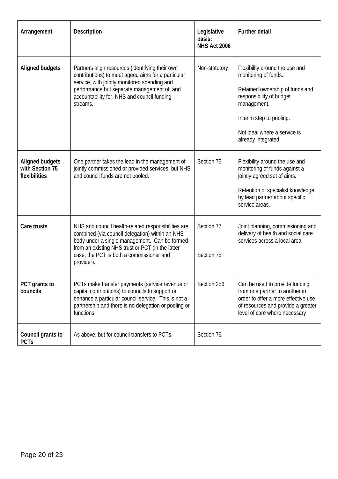| Arrangement                                                | <b>Description</b>                                                                                                                                                                                                                                                    | Legislative<br>basis:<br><b>NHS Act 2006</b> | <b>Further detail</b>                                                                                                                                                                                                   |
|------------------------------------------------------------|-----------------------------------------------------------------------------------------------------------------------------------------------------------------------------------------------------------------------------------------------------------------------|----------------------------------------------|-------------------------------------------------------------------------------------------------------------------------------------------------------------------------------------------------------------------------|
| <b>Aligned budgets</b>                                     | Partners align resources (identifying their own<br>contributions) to meet ageed aims for a particular<br>service, with jointly monitored spending and<br>performance but separate management of, and<br>accountability for, NHS and council funding<br>streams.       | Non-statutory                                | Flexibility around the use and<br>monitoring of funds.<br>Retained ownership of funds and<br>responsibility of budget<br>management.<br>Interim step to pooling.<br>Not ideal where a service is<br>already integrated. |
| <b>Aligned budgets</b><br>with Section 75<br>flexibilities | One partner takes the lead in the management of<br>jointly commissioned or provided services, but NHS<br>and council funds are not pooled.                                                                                                                            | Section 75                                   | Flexibility around the use and<br>monitoring of funds against a<br>jointly agreed set of aims.<br>Retention of specialist knowledge<br>by lead partner about specific<br>service areas.                                 |
| Care trusts                                                | NHS and council health-related responsibilities are<br>combined (via council delegation) within an NHS<br>body under a single management. Can be formed<br>from an existing NHS trust or PCT (in the latter<br>case, the PCT is both a commissioner and<br>provider). | Section 77<br>Section 75                     | Joint planning, commissioning and<br>delivery of health and social care<br>services across a local area.                                                                                                                |
| PCT grants to<br>councils                                  | PCTs make transfer payments (service revenue or<br>capital contributions) to councils to support or<br>enhance a particular council service. This is not a<br>partnership and there is no delegation or pooling or<br>functions.                                      | Section 256                                  | Can be used to provide funding<br>from one partner to another in<br>order to offer a more effective use<br>of resources and provide a greater<br>level of care where necessary                                          |
| Council grants to<br><b>PCTs</b>                           | As above, but for council transfers to PCTs.                                                                                                                                                                                                                          | Section 76                                   |                                                                                                                                                                                                                         |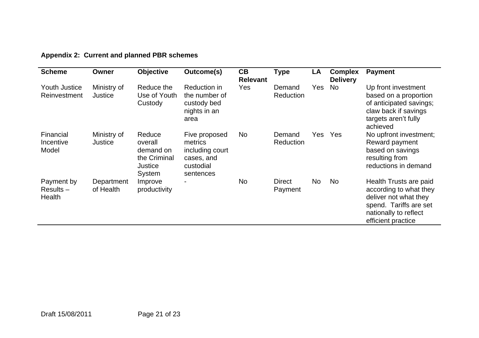| Appendix 2: Current and planned PBR schemes |  |  |  |
|---------------------------------------------|--|--|--|
|---------------------------------------------|--|--|--|

| <b>Scheme</b>                        | Owner                         | <b>Objective</b>                                                           | Outcome(s)                                                                          | CB<br><b>Relevant</b> | <b>Type</b>                | LA         | <b>Complex</b><br><b>Delivery</b> | <b>Payment</b>                                                                                                                                     |
|--------------------------------------|-------------------------------|----------------------------------------------------------------------------|-------------------------------------------------------------------------------------|-----------------------|----------------------------|------------|-----------------------------------|----------------------------------------------------------------------------------------------------------------------------------------------------|
| <b>Youth Justice</b><br>Reinvestment | Ministry of<br><b>Justice</b> | Reduce the<br>Use of Youth<br>Custody                                      | Reduction in<br>the number of<br>custody bed<br>nights in an<br>area                | Yes                   | Demand<br><b>Reduction</b> | Yes        | <b>No</b>                         | Up front investment<br>based on a proportion<br>of anticipated savings;<br>claw back if savings<br>targets aren't fully<br>achieved                |
| Financial<br>Incentive<br>Model      | Ministry of<br>Justice        | Reduce<br>overall<br>demand on<br>the Criminal<br><b>Justice</b><br>System | Five proposed<br>metrics<br>including court<br>cases, and<br>custodial<br>sentences | <b>No</b>             | Demand<br>Reduction        | <b>Yes</b> | Yes                               | No upfront investment;<br>Reward payment<br>based on savings<br>resulting from<br>reductions in demand                                             |
| Payment by<br>$Results -$<br>Health  | Department<br>of Health       | Improve<br>productivity                                                    | $\overline{a}$                                                                      | No                    | <b>Direct</b><br>Payment   | <b>No</b>  | No                                | Health Trusts are paid<br>according to what they<br>deliver not what they<br>spend. Tariffs are set<br>nationally to reflect<br>efficient practice |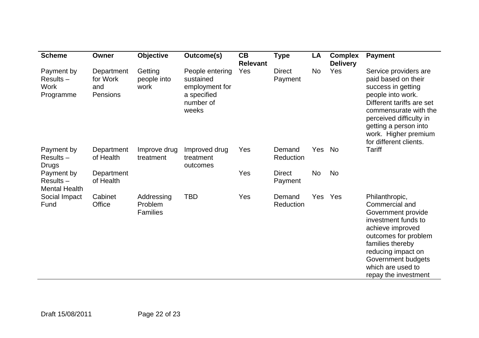| <b>Scheme</b>                                         | Owner                                     | <b>Objective</b>                         | Outcome(s)                                                                          | CB<br><b>Relevant</b> | <b>Type</b>              | LA         | <b>Complex</b><br><b>Delivery</b> | <b>Payment</b>                                                                                                                                                                                                                                      |
|-------------------------------------------------------|-------------------------------------------|------------------------------------------|-------------------------------------------------------------------------------------|-----------------------|--------------------------|------------|-----------------------------------|-----------------------------------------------------------------------------------------------------------------------------------------------------------------------------------------------------------------------------------------------------|
| Payment by<br>$Results -$<br><b>Work</b><br>Programme | Department<br>for Work<br>and<br>Pensions | Getting<br>people into<br>work           | People entering<br>sustained<br>employment for<br>a specified<br>number of<br>weeks | Yes                   | <b>Direct</b><br>Payment | <b>No</b>  | Yes                               | Service providers are<br>paid based on their<br>success in getting<br>people into work.<br>Different tariffs are set<br>commensurate with the<br>perceived difficulty in<br>getting a person into<br>work. Higher premium<br>for different clients. |
| Payment by<br>$Results -$<br><b>Drugs</b>             | Department<br>of Health                   | Improve drug<br>treatment                | Improved drug<br>treatment<br>outcomes                                              | Yes                   | Demand<br>Reduction      | Yes        | <b>No</b>                         | <b>Tariff</b>                                                                                                                                                                                                                                       |
| Payment by<br>$Results -$<br><b>Mental Health</b>     | Department<br>of Health                   |                                          |                                                                                     | Yes                   | <b>Direct</b><br>Payment | <b>No</b>  | <b>No</b>                         |                                                                                                                                                                                                                                                     |
| Social Impact<br>Fund                                 | Cabinet<br>Office                         | Addressing<br>Problem<br><b>Families</b> | <b>TBD</b>                                                                          | Yes                   | Demand<br>Reduction      | <b>Yes</b> | Yes                               | Philanthropic,<br>Commercial and<br>Government provide<br>investment funds to<br>achieve improved<br>outcomes for problem<br>families thereby<br>reducing impact on<br>Government budgets<br>which are used to<br>repay the investment              |